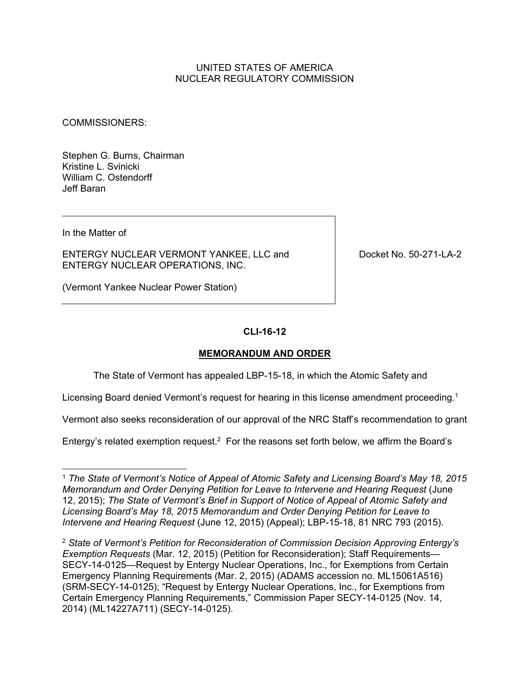## UNITED STATES OF AMERICA NUCLEAR REGULATORY COMMISSION

COMMISSIONERS:

Stephen G. Burns, Chairman Kristine L. Svinicki William C. Ostendorff Jeff Baran

In the Matter of

ENTERGY NUCLEAR VERMONT YANKEE, LLC and ENTERGY NUCLEAR OPERATIONS, INC.

Docket No. 50-271-LA-2

(Vermont Yankee Nuclear Power Station)

## **CLI-16-12**

#### **MEMORANDUM AND ORDER**

The State of Vermont has appealed LBP-15-18, in which the Atomic Safety and

Licensing Board denied Vermont's request for hearing in this license amendment proceeding.<sup>1</sup>

Vermont also seeks reconsideration of our approval of the NRC Staff's recommendation to grant

Entergy's related exemption request.<sup>2</sup> For the reasons set forth below, we affirm the Board's

<sup>1</sup> *The State of Vermont's Notice of Appeal of Atomic Safety and Licensing Board's May 18, 2015 Memorandum and Order Denying Petition for Leave to Intervene and Hearing Request* (June 12, 2015); *The State of Vermont's Brief in Support of Notice of Appeal of Atomic Safety and Licensing Board's May 18, 2015 Memorandum and Order Denying Petition for Leave to Intervene and Hearing Request* (June 12, 2015) (Appeal); LBP-15-18, 81 NRC 793 (2015).

<sup>2</sup> *State of Vermont's Petition for Reconsideration of Commission Decision Approving Entergy's Exemption Requests* (Mar. 12, 2015) (Petition for Reconsideration); Staff Requirements— SECY-14-0125—Request by Entergy Nuclear Operations, Inc., for Exemptions from Certain Emergency Planning Requirements (Mar. 2, 2015) (ADAMS accession no. ML15061A516) (SRM-SECY-14-0125); "Request by Entergy Nuclear Operations, Inc., for Exemptions from Certain Emergency Planning Requirements," Commission Paper SECY-14-0125 (Nov. 14, 2014) (ML14227A711) (SECY-14-0125).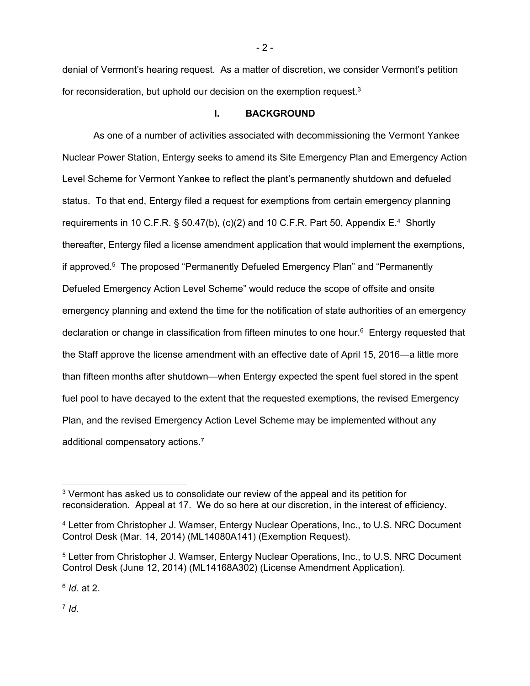denial of Vermont's hearing request. As a matter of discretion, we consider Vermont's petition for reconsideration, but uphold our decision on the exemption request.<sup>3</sup>

#### **I. BACKGROUND**

As one of a number of activities associated with decommissioning the Vermont Yankee Nuclear Power Station, Entergy seeks to amend its Site Emergency Plan and Emergency Action Level Scheme for Vermont Yankee to reflect the plant's permanently shutdown and defueled status. To that end, Entergy filed a request for exemptions from certain emergency planning requirements in 10 C.F.R.  $\S$  50.47(b), (c)(2) and 10 C.F.R. Part 50, Appendix E.<sup>4</sup> Shortly thereafter, Entergy filed a license amendment application that would implement the exemptions, if approved.5 The proposed "Permanently Defueled Emergency Plan" and "Permanently Defueled Emergency Action Level Scheme" would reduce the scope of offsite and onsite emergency planning and extend the time for the notification of state authorities of an emergency declaration or change in classification from fifteen minutes to one hour.6 Entergy requested that the Staff approve the license amendment with an effective date of April 15, 2016—a little more than fifteen months after shutdown—when Entergy expected the spent fuel stored in the spent fuel pool to have decayed to the extent that the requested exemptions, the revised Emergency Plan, and the revised Emergency Action Level Scheme may be implemented without any additional compensatory actions.7

<sup>6</sup> *Id.* at 2.

<sup>7</sup> *Id.*

-

<sup>3</sup> Vermont has asked us to consolidate our review of the appeal and its petition for reconsideration. Appeal at 17. We do so here at our discretion, in the interest of efficiency.

<sup>4</sup> Letter from Christopher J. Wamser, Entergy Nuclear Operations, Inc., to U.S. NRC Document Control Desk (Mar. 14, 2014) (ML14080A141) (Exemption Request).

<sup>5</sup> Letter from Christopher J. Wamser, Entergy Nuclear Operations, Inc., to U.S. NRC Document Control Desk (June 12, 2014) (ML14168A302) (License Amendment Application).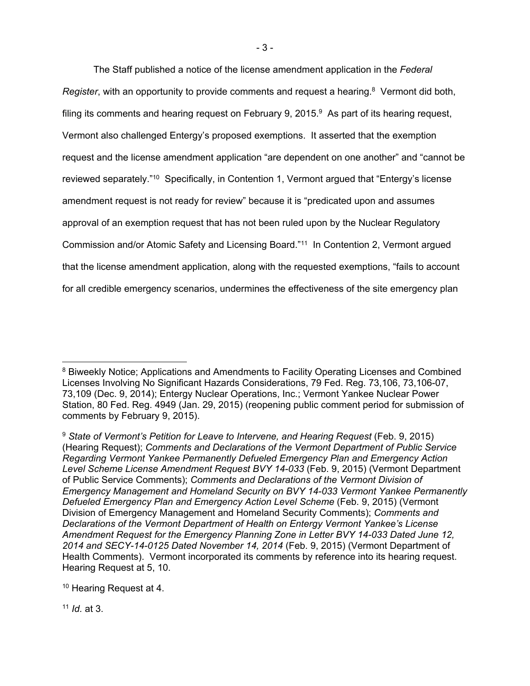The Staff published a notice of the license amendment application in the *Federal Register*, with an opportunity to provide comments and request a hearing.<sup>8</sup> Vermont did both, filing its comments and hearing request on February 9, 2015. $9$  As part of its hearing request, Vermont also challenged Entergy's proposed exemptions. It asserted that the exemption request and the license amendment application "are dependent on one another" and "cannot be reviewed separately."10 Specifically, in Contention 1, Vermont argued that "Entergy's license amendment request is not ready for review" because it is "predicated upon and assumes approval of an exemption request that has not been ruled upon by the Nuclear Regulatory Commission and/or Atomic Safety and Licensing Board."11 In Contention 2, Vermont argued that the license amendment application, along with the requested exemptions, "fails to account for all credible emergency scenarios, undermines the effectiveness of the site emergency plan

<sup>11</sup> *Id.* at 3.

-

<sup>&</sup>lt;sup>8</sup> Biweekly Notice; Applications and Amendments to Facility Operating Licenses and Combined Licenses Involving No Significant Hazards Considerations, 79 Fed. Reg. 73,106, 73,106-07, 73,109 (Dec. 9, 2014); Entergy Nuclear Operations, Inc.; Vermont Yankee Nuclear Power Station, 80 Fed. Reg. 4949 (Jan. 29, 2015) (reopening public comment period for submission of comments by February 9, 2015).

<sup>9</sup> *State of Vermont's Petition for Leave to Intervene, and Hearing Request* (Feb. 9, 2015) (Hearing Request); *Comments and Declarations of the Vermont Department of Public Service Regarding Vermont Yankee Permanently Defueled Emergency Plan and Emergency Action Level Scheme License Amendment Request BVY 14-033* (Feb. 9, 2015) (Vermont Department of Public Service Comments); *Comments and Declarations of the Vermont Division of Emergency Management and Homeland Security on BVY 14-033 Vermont Yankee Permanently Defueled Emergency Plan and Emergency Action Level Scheme* (Feb. 9, 2015) (Vermont Division of Emergency Management and Homeland Security Comments); *Comments and Declarations of the Vermont Department of Health on Entergy Vermont Yankee's License Amendment Request for the Emergency Planning Zone in Letter BVY 14-033 Dated June 12, 2014 and SECY-14-0125 Dated November 14, 2014* (Feb. 9, 2015) (Vermont Department of Health Comments). Vermont incorporated its comments by reference into its hearing request. Hearing Request at 5, 10.

<sup>10</sup> Hearing Request at 4.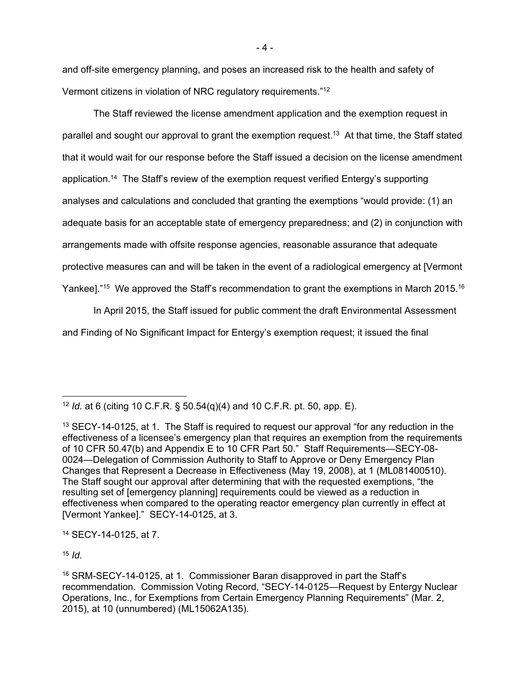and off-site emergency planning, and poses an increased risk to the health and safety of Vermont citizens in violation of NRC regulatory requirements."12

The Staff reviewed the license amendment application and the exemption request in parallel and sought our approval to grant the exemption request.<sup>13</sup> At that time, the Staff stated that it would wait for our response before the Staff issued a decision on the license amendment application.14 The Staff's review of the exemption request verified Entergy's supporting analyses and calculations and concluded that granting the exemptions "would provide: (1) an adequate basis for an acceptable state of emergency preparedness; and (2) in conjunction with arrangements made with offsite response agencies, reasonable assurance that adequate protective measures can and will be taken in the event of a radiological emergency at [Vermont Yankee]."<sup>15</sup> We approved the Staff's recommendation to grant the exemptions in March 2015.<sup>16</sup>

In April 2015, the Staff issued for public comment the draft Environmental Assessment and Finding of No Significant Impact for Entergy's exemption request; it issued the final

14 SECY-14-0125, at 7.

<sup>15</sup> *Id.*

<sup>-</sup><sup>12</sup> *Id.* at 6 (citing 10 C.F.R. § 50.54(q)(4) and 10 C.F.R. pt. 50, app. E).

<sup>&</sup>lt;sup>13</sup> SECY-14-0125, at 1. The Staff is required to request our approval "for any reduction in the effectiveness of a licensee's emergency plan that requires an exemption from the requirements of 10 CFR 50.47(b) and Appendix E to 10 CFR Part 50." Staff Requirements—SECY-08- 0024—Delegation of Commission Authority to Staff to Approve or Deny Emergency Plan Changes that Represent a Decrease in Effectiveness (May 19, 2008), at 1 (ML081400510). The Staff sought our approval after determining that with the requested exemptions, "the resulting set of [emergency planning] requirements could be viewed as a reduction in effectiveness when compared to the operating reactor emergency plan currently in effect at [Vermont Yankee]." SECY-14-0125, at 3.

<sup>16</sup> SRM-SECY-14-0125, at 1. Commissioner Baran disapproved in part the Staff's recommendation. Commission Voting Record, "SECY-14-0125—Request by Entergy Nuclear Operations, Inc., for Exemptions from Certain Emergency Planning Requirements" (Mar. 2, 2015), at 10 (unnumbered) (ML15062A135).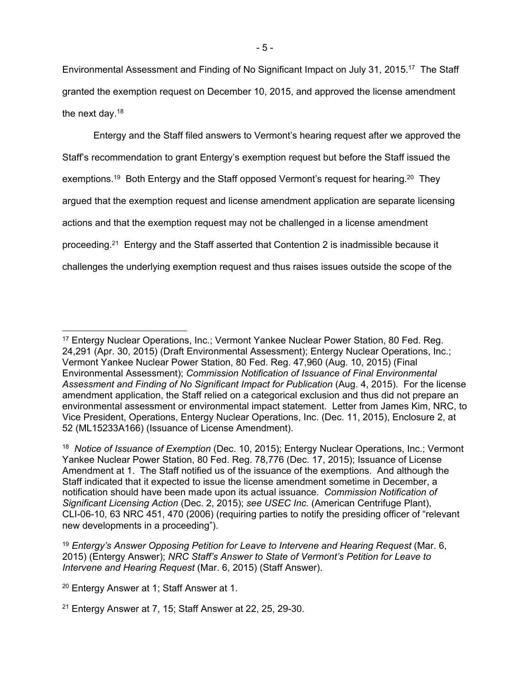Environmental Assessment and Finding of No Significant Impact on July 31, 2015.17 The Staff granted the exemption request on December 10, 2015, and approved the license amendment the next day.18

Entergy and the Staff filed answers to Vermont's hearing request after we approved the Staff's recommendation to grant Entergy's exemption request but before the Staff issued the exemptions.<sup>19</sup> Both Entergy and the Staff opposed Vermont's request for hearing.<sup>20</sup> They argued that the exemption request and license amendment application are separate licensing actions and that the exemption request may not be challenged in a license amendment proceeding.21 Entergy and the Staff asserted that Contention 2 is inadmissible because it challenges the underlying exemption request and thus raises issues outside the scope of the

<sup>17</sup> Entergy Nuclear Operations, Inc.; Vermont Yankee Nuclear Power Station, 80 Fed. Reg. 24,291 (Apr. 30, 2015) (Draft Environmental Assessment); Entergy Nuclear Operations, Inc.; Vermont Yankee Nuclear Power Station, 80 Fed. Reg. 47,960 (Aug. 10, 2015) (Final Environmental Assessment); *Commission Notification of Issuance of Final Environmental Assessment and Finding of No Significant Impact for Publication* (Aug. 4, 2015). For the license amendment application, the Staff relied on a categorical exclusion and thus did not prepare an environmental assessment or environmental impact statement. Letter from James Kim, NRC, to Vice President, Operations, Entergy Nuclear Operations, Inc. (Dec. 11, 2015), Enclosure 2, at 52 (ML15233A166) (Issuance of License Amendment).

<sup>18</sup> *Notice of Issuance of Exemption* (Dec. 10, 2015); Entergy Nuclear Operations, Inc.; Vermont Yankee Nuclear Power Station, 80 Fed. Reg. 78,776 (Dec. 17, 2015); Issuance of License Amendment at 1. The Staff notified us of the issuance of the exemptions. And although the Staff indicated that it expected to issue the license amendment sometime in December, a notification should have been made upon its actual issuance. *Commission Notification of Significant Licensing Action* (Dec. 2, 2015); *see USEC Inc.* (American Centrifuge Plant), CLI-06-10, 63 NRC 451, 470 (2006) (requiring parties to notify the presiding officer of "relevant new developments in a proceeding").

<sup>19</sup> *Entergy's Answer Opposing Petition for Leave to Intervene and Hearing Request* (Mar. 6, 2015) (Entergy Answer); *NRC Staff's Answer to State of Vermont's Petition for Leave to Intervene and Hearing Request* (Mar. 6, 2015) (Staff Answer).

<sup>20</sup> Entergy Answer at 1; Staff Answer at 1.

<sup>21</sup> Entergy Answer at 7, 15; Staff Answer at 22, 25, 29-30.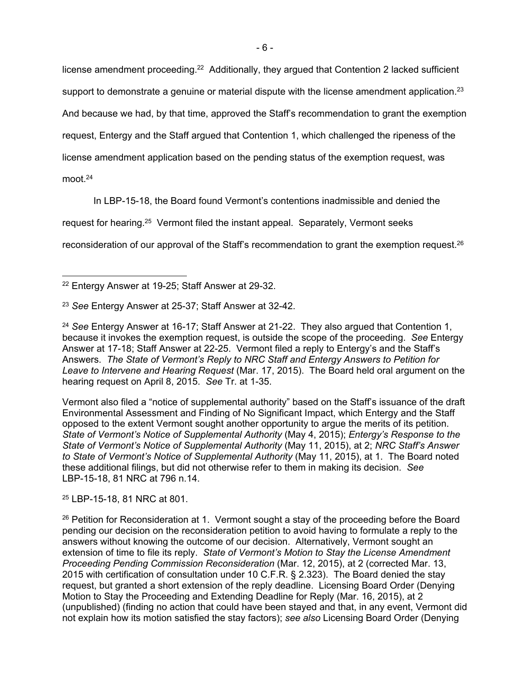license amendment proceeding.<sup>22</sup> Additionally, they argued that Contention 2 lacked sufficient support to demonstrate a genuine or material dispute with the license amendment application.<sup>23</sup>

And because we had, by that time, approved the Staff's recommendation to grant the exemption

request, Entergy and the Staff argued that Contention 1, which challenged the ripeness of the

license amendment application based on the pending status of the exemption request, was

moot.24

In LBP-15-18, the Board found Vermont's contentions inadmissible and denied the

request for hearing.25 Vermont filed the instant appeal. Separately, Vermont seeks

reconsideration of our approval of the Staff's recommendation to grant the exemption request.26

Vermont also filed a "notice of supplemental authority" based on the Staff's issuance of the draft Environmental Assessment and Finding of No Significant Impact, which Entergy and the Staff opposed to the extent Vermont sought another opportunity to argue the merits of its petition. *State of Vermont's Notice of Supplemental Authority* (May 4, 2015); *Entergy's Response to the State of Vermont's Notice of Supplemental Authority* (May 11, 2015), at 2; *NRC Staff's Answer to State of Vermont's Notice of Supplemental Authority* (May 11, 2015), at 1. The Board noted these additional filings, but did not otherwise refer to them in making its decision. *See* LBP-15-18, 81 NRC at 796 n.14.

25 LBP-15-18, 81 NRC at 801.

 22 Entergy Answer at 19-25; Staff Answer at 29-32.

<sup>23</sup> *See* Entergy Answer at 25-37; Staff Answer at 32-42.

<sup>24</sup> *See* Entergy Answer at 16-17; Staff Answer at 21-22. They also argued that Contention 1, because it invokes the exemption request, is outside the scope of the proceeding. *See* Entergy Answer at 17-18; Staff Answer at 22-25. Vermont filed a reply to Entergy's and the Staff's Answers. *The State of Vermont's Reply to NRC Staff and Entergy Answers to Petition for Leave to Intervene and Hearing Request* (Mar. 17, 2015). The Board held oral argument on the hearing request on April 8, 2015. *See* Tr. at 1-35.

<sup>&</sup>lt;sup>26</sup> Petition for Reconsideration at 1. Vermont sought a stay of the proceeding before the Board pending our decision on the reconsideration petition to avoid having to formulate a reply to the answers without knowing the outcome of our decision. Alternatively, Vermont sought an extension of time to file its reply. *State of Vermont's Motion to Stay the License Amendment Proceeding Pending Commission Reconsideration* (Mar. 12, 2015), at 2 (corrected Mar. 13, 2015 with certification of consultation under 10 C.F.R. § 2.323). The Board denied the stay request, but granted a short extension of the reply deadline. Licensing Board Order (Denying Motion to Stay the Proceeding and Extending Deadline for Reply (Mar. 16, 2015), at 2 (unpublished) (finding no action that could have been stayed and that, in any event, Vermont did not explain how its motion satisfied the stay factors); *see also* Licensing Board Order (Denying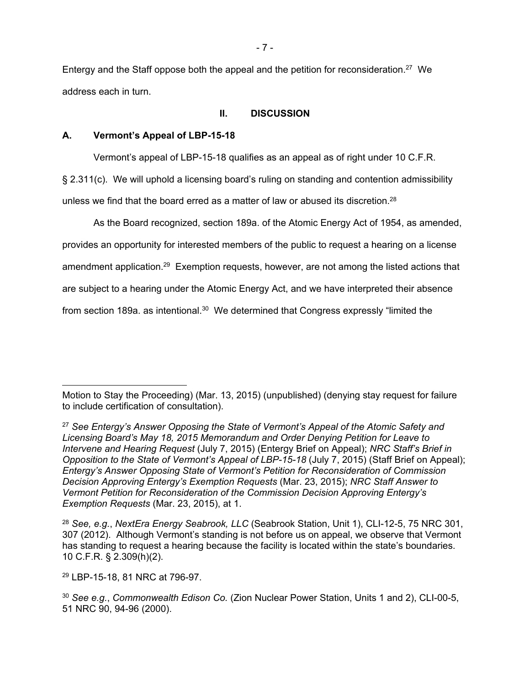Entergy and the Staff oppose both the appeal and the petition for reconsideration.27 We address each in turn.

## **II. DISCUSSION**

## **A. Vermont's Appeal of LBP-15-18**

Vermont's appeal of LBP-15-18 qualifies as an appeal as of right under 10 C.F.R.

§ 2.311(c). We will uphold a licensing board's ruling on standing and contention admissibility unless we find that the board erred as a matter of law or abused its discretion.<sup>28</sup>

As the Board recognized, section 189a. of the Atomic Energy Act of 1954, as amended, provides an opportunity for interested members of the public to request a hearing on a license amendment application.29 Exemption requests, however, are not among the listed actions that are subject to a hearing under the Atomic Energy Act, and we have interpreted their absence from section 189a. as intentional.30 We determined that Congress expressly "limited the

29 LBP-15-18, 81 NRC at 796-97.

 $\overline{a}$ 

Motion to Stay the Proceeding) (Mar. 13, 2015) (unpublished) (denying stay request for failure to include certification of consultation).

<sup>27</sup> *See Entergy's Answer Opposing the State of Vermont's Appeal of the Atomic Safety and Licensing Board's May 18, 2015 Memorandum and Order Denying Petition for Leave to Intervene and Hearing Request* (July 7, 2015) (Entergy Brief on Appeal); *NRC Staff's Brief in Opposition to the State of Vermont's Appeal of LBP-15-18* (July 7, 2015) (Staff Brief on Appeal); *Entergy's Answer Opposing State of Vermont's Petition for Reconsideration of Commission Decision Approving Entergy's Exemption Requests* (Mar. 23, 2015); *NRC Staff Answer to Vermont Petition for Reconsideration of the Commission Decision Approving Entergy's Exemption Requests* (Mar. 23, 2015), at 1.

<sup>28</sup> *See, e.g.*, *NextEra Energy Seabrook, LLC* (Seabrook Station, Unit 1), CLI-12-5, 75 NRC 301, 307 (2012). Although Vermont's standing is not before us on appeal, we observe that Vermont has standing to request a hearing because the facility is located within the state's boundaries. 10 C.F.R. § 2.309(h)(2).

<sup>30</sup> *See e.g.*, *Commonwealth Edison Co.* (Zion Nuclear Power Station, Units 1 and 2), CLI-00-5, 51 NRC 90, 94-96 (2000).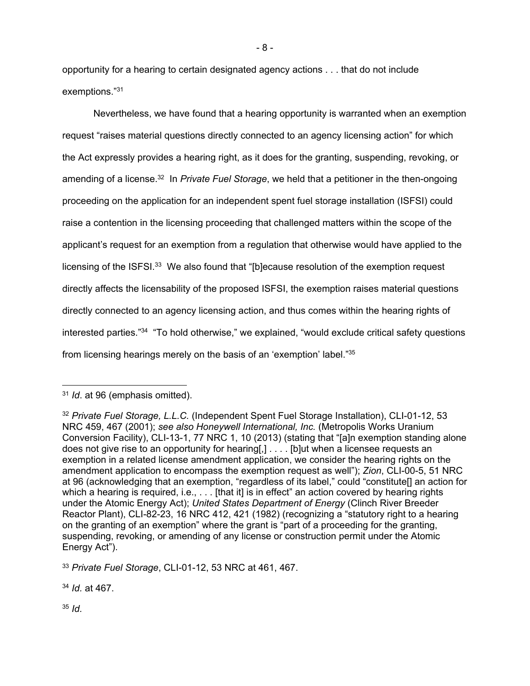opportunity for a hearing to certain designated agency actions . . . that do not include exemptions."31

Nevertheless, we have found that a hearing opportunity is warranted when an exemption request "raises material questions directly connected to an agency licensing action" for which the Act expressly provides a hearing right, as it does for the granting, suspending, revoking, or amending of a license.<sup>32</sup> In *Private Fuel Storage*, we held that a petitioner in the then-ongoing proceeding on the application for an independent spent fuel storage installation (ISFSI) could raise a contention in the licensing proceeding that challenged matters within the scope of the applicant's request for an exemption from a regulation that otherwise would have applied to the licensing of the ISFSI.<sup>33</sup> We also found that "[b]ecause resolution of the exemption request directly affects the licensability of the proposed ISFSI, the exemption raises material questions directly connected to an agency licensing action, and thus comes within the hearing rights of interested parties."34 "To hold otherwise," we explained, "would exclude critical safety questions from licensing hearings merely on the basis of an 'exemption' label."35

<sup>34</sup> *Id.* at 467.

<sup>35</sup> *Id.*

<sup>31</sup> *Id*. at 96 (emphasis omitted).

<sup>32</sup> *Private Fuel Storage, L.L.C.* (Independent Spent Fuel Storage Installation), CLI-01-12, 53 NRC 459, 467 (2001); *see also Honeywell International, Inc.* (Metropolis Works Uranium Conversion Facility), CLI-13-1, 77 NRC 1, 10 (2013) (stating that "[a]n exemption standing alone does not give rise to an opportunity for hearing[,] . . . . [b]ut when a licensee requests an exemption in a related license amendment application, we consider the hearing rights on the amendment application to encompass the exemption request as well"); *Zion*, CLI-00-5, 51 NRC at 96 (acknowledging that an exemption, "regardless of its label," could "constitute[] an action for which a hearing is required, i.e.,  $\dots$  [that it] is in effect" an action covered by hearing rights under the Atomic Energy Act); *United States Department of Energy* (Clinch River Breeder Reactor Plant), CLI-82-23, 16 NRC 412, 421 (1982) (recognizing a "statutory right to a hearing on the granting of an exemption" where the grant is "part of a proceeding for the granting, suspending, revoking, or amending of any license or construction permit under the Atomic Energy Act").

<sup>33</sup> *Private Fuel Storage*, CLI-01-12, 53 NRC at 461, 467.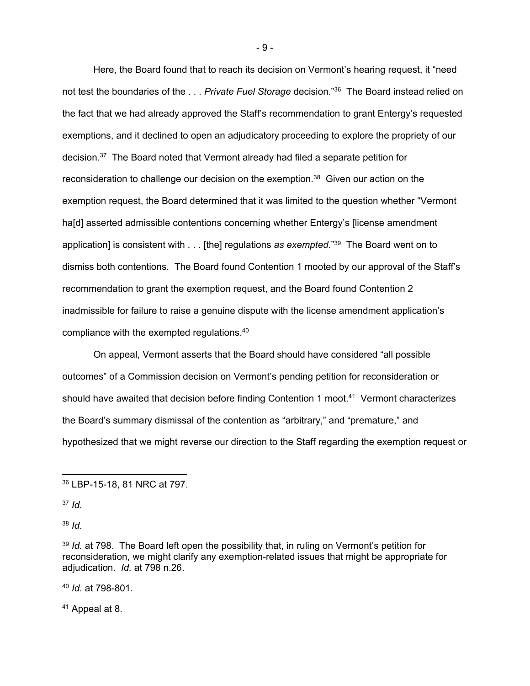Here, the Board found that to reach its decision on Vermont's hearing request, it "need not test the boundaries of the . . . *Private Fuel Storage* decision."36 The Board instead relied on the fact that we had already approved the Staff's recommendation to grant Entergy's requested exemptions, and it declined to open an adjudicatory proceeding to explore the propriety of our decision.37 The Board noted that Vermont already had filed a separate petition for reconsideration to challenge our decision on the exemption.<sup>38</sup> Given our action on the exemption request, the Board determined that it was limited to the question whether "Vermont ha[d] asserted admissible contentions concerning whether Entergy's [license amendment application] is consistent with . . . [the] regulations *as exempted*."39 The Board went on to dismiss both contentions. The Board found Contention 1 mooted by our approval of the Staff's recommendation to grant the exemption request, and the Board found Contention 2 inadmissible for failure to raise a genuine dispute with the license amendment application's compliance with the exempted regulations.40

On appeal, Vermont asserts that the Board should have considered "all possible outcomes" of a Commission decision on Vermont's pending petition for reconsideration or should have awaited that decision before finding Contention 1 moot.41 Vermont characterizes the Board's summary dismissal of the contention as "arbitrary," and "premature," and hypothesized that we might reverse our direction to the Staff regarding the exemption request or

 $\overline{a}$ 

<sup>40</sup> *Id.* at 798-801.

41 Appeal at 8.

- 9 -

<sup>36</sup> LBP-15-18, 81 NRC at 797.

<sup>37</sup> *Id.*

<sup>38</sup> *Id.*

<sup>&</sup>lt;sup>39</sup> *Id.* at 798. The Board left open the possibility that, in ruling on Vermont's petition for reconsideration, we might clarify any exemption-related issues that might be appropriate for adjudication. *Id.* at 798 n.26.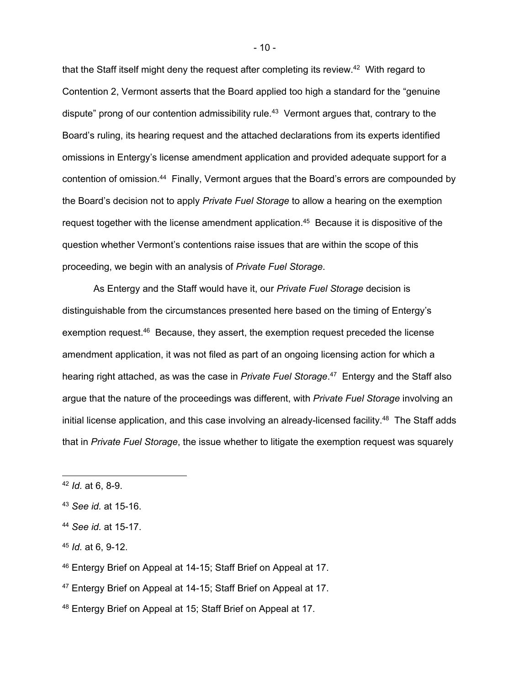that the Staff itself might deny the request after completing its review.<sup>42</sup> With regard to Contention 2, Vermont asserts that the Board applied too high a standard for the "genuine dispute" prong of our contention admissibility rule.43 Vermont argues that, contrary to the Board's ruling, its hearing request and the attached declarations from its experts identified omissions in Entergy's license amendment application and provided adequate support for a contention of omission.44 Finally, Vermont argues that the Board's errors are compounded by the Board's decision not to apply *Private Fuel Storage* to allow a hearing on the exemption request together with the license amendment application.<sup>45</sup> Because it is dispositive of the question whether Vermont's contentions raise issues that are within the scope of this proceeding, we begin with an analysis of *Private Fuel Storage*.

As Entergy and the Staff would have it, our *Private Fuel Storage* decision is distinguishable from the circumstances presented here based on the timing of Entergy's exemption request.46 Because, they assert, the exemption request preceded the license amendment application, it was not filed as part of an ongoing licensing action for which a hearing right attached, as was the case in *Private Fuel Storage*. 47 Entergy and the Staff also argue that the nature of the proceedings was different, with *Private Fuel Storage* involving an initial license application, and this case involving an already-licensed facility.<sup>48</sup> The Staff adds that in *Private Fuel Storage*, the issue whether to litigate the exemption request was squarely

<sup>42</sup> *Id.* at 6, 8-9.

<sup>43</sup> *See id.* at 15-16.

<sup>44</sup> *See id.* at 15-17.

<sup>45</sup> *Id.* at 6, 9-12.

<sup>46</sup> Entergy Brief on Appeal at 14-15; Staff Brief on Appeal at 17.

<sup>47</sup> Entergy Brief on Appeal at 14-15; Staff Brief on Appeal at 17.

<sup>&</sup>lt;sup>48</sup> Entergy Brief on Appeal at 15; Staff Brief on Appeal at 17.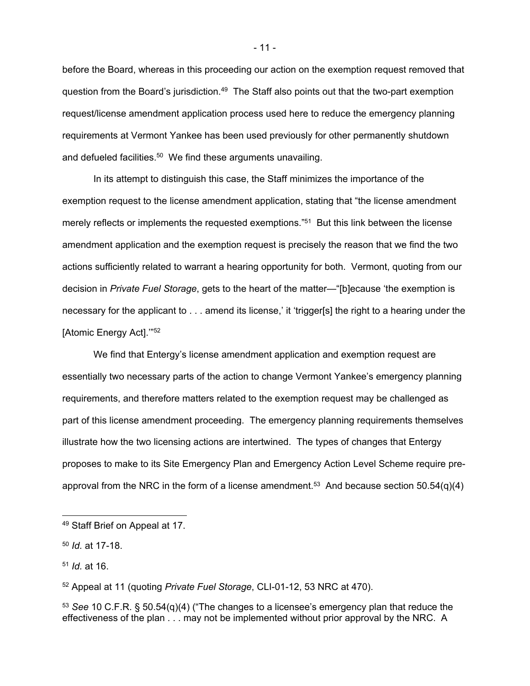before the Board, whereas in this proceeding our action on the exemption request removed that question from the Board's jurisdiction.<sup>49</sup> The Staff also points out that the two-part exemption request/license amendment application process used here to reduce the emergency planning requirements at Vermont Yankee has been used previously for other permanently shutdown and defueled facilities.<sup>50</sup> We find these arguments unavailing.

In its attempt to distinguish this case, the Staff minimizes the importance of the exemption request to the license amendment application, stating that "the license amendment merely reflects or implements the requested exemptions."<sup>51</sup> But this link between the license amendment application and the exemption request is precisely the reason that we find the two actions sufficiently related to warrant a hearing opportunity for both. Vermont, quoting from our decision in *Private Fuel Storage*, gets to the heart of the matter—"[b]ecause 'the exemption is necessary for the applicant to . . . amend its license,' it 'trigger[s] the right to a hearing under the [Atomic Energy Act].'"52

We find that Entergy's license amendment application and exemption request are essentially two necessary parts of the action to change Vermont Yankee's emergency planning requirements, and therefore matters related to the exemption request may be challenged as part of this license amendment proceeding. The emergency planning requirements themselves illustrate how the two licensing actions are intertwined. The types of changes that Entergy proposes to make to its Site Emergency Plan and Emergency Action Level Scheme require preapproval from the NRC in the form of a license amendment.<sup>53</sup> And because section 50.54(q)(4)

<sup>51</sup> *Id.* at 16.

52 Appeal at 11 (quoting *Private Fuel Storage*, CLI-01-12, 53 NRC at 470).

<sup>53</sup> *See* 10 C.F.R. § 50.54(q)(4) ("The changes to a licensee's emergency plan that reduce the effectiveness of the plan . . . may not be implemented without prior approval by the NRC. A

<sup>49</sup> Staff Brief on Appeal at 17.

<sup>50</sup> *Id.* at 17-18.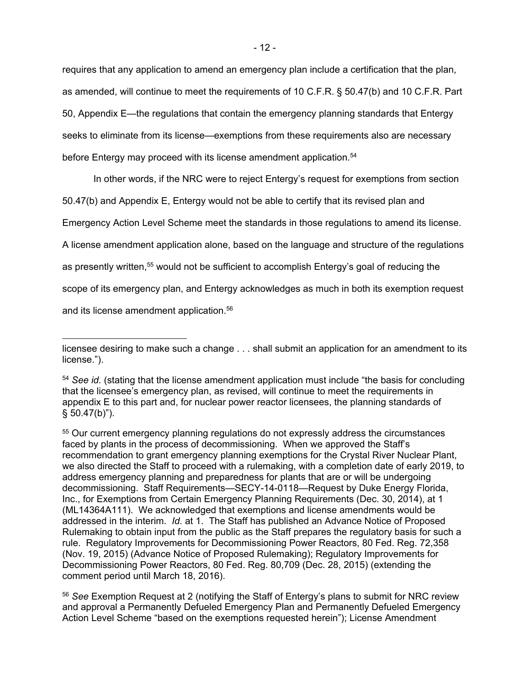requires that any application to amend an emergency plan include a certification that the plan, as amended, will continue to meet the requirements of 10 C.F.R. § 50.47(b) and 10 C.F.R. Part 50, Appendix E—the regulations that contain the emergency planning standards that Entergy seeks to eliminate from its license—exemptions from these requirements also are necessary before Entergy may proceed with its license amendment application.<sup>54</sup>

In other words, if the NRC were to reject Entergy's request for exemptions from section

50.47(b) and Appendix E, Entergy would not be able to certify that its revised plan and

Emergency Action Level Scheme meet the standards in those regulations to amend its license.

A license amendment application alone, based on the language and structure of the regulations

as presently written,<sup>55</sup> would not be sufficient to accomplish Entergy's goal of reducing the

scope of its emergency plan, and Entergy acknowledges as much in both its exemption request

and its license amendment application.<sup>56</sup>

-

licensee desiring to make such a change . . . shall submit an application for an amendment to its license.").

<sup>54</sup> *See id.* (stating that the license amendment application must include "the basis for concluding that the licensee's emergency plan, as revised, will continue to meet the requirements in appendix E to this part and, for nuclear power reactor licensees, the planning standards of  $§ 50.47(b)$ ").

<sup>55</sup> Our current emergency planning regulations do not expressly address the circumstances faced by plants in the process of decommissioning. When we approved the Staff's recommendation to grant emergency planning exemptions for the Crystal River Nuclear Plant, we also directed the Staff to proceed with a rulemaking, with a completion date of early 2019, to address emergency planning and preparedness for plants that are or will be undergoing decommissioning. Staff Requirements—SECY-14-0118—Request by Duke Energy Florida, Inc., for Exemptions from Certain Emergency Planning Requirements (Dec. 30, 2014), at 1 (ML14364A111). We acknowledged that exemptions and license amendments would be addressed in the interim. *Id.* at 1. The Staff has published an Advance Notice of Proposed Rulemaking to obtain input from the public as the Staff prepares the regulatory basis for such a rule. Regulatory Improvements for Decommissioning Power Reactors, 80 Fed. Reg. 72,358 (Nov. 19, 2015) (Advance Notice of Proposed Rulemaking); Regulatory Improvements for Decommissioning Power Reactors, 80 Fed. Reg. 80,709 (Dec. 28, 2015) (extending the comment period until March 18, 2016).

<sup>56</sup> *See* Exemption Request at 2 (notifying the Staff of Entergy's plans to submit for NRC review and approval a Permanently Defueled Emergency Plan and Permanently Defueled Emergency Action Level Scheme "based on the exemptions requested herein"); License Amendment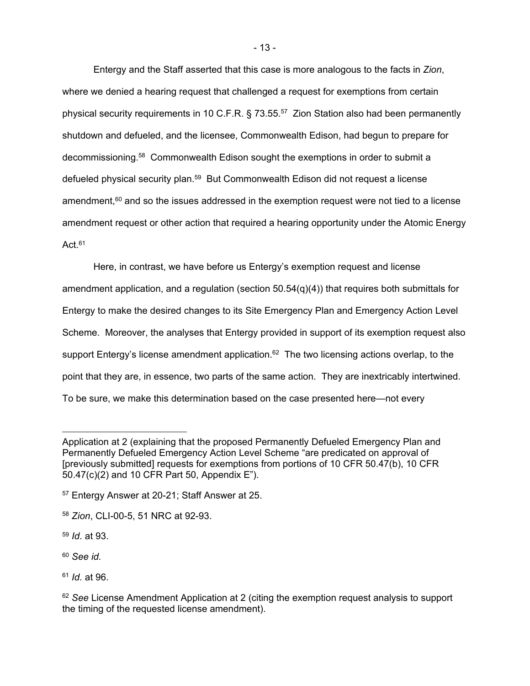Entergy and the Staff asserted that this case is more analogous to the facts in *Zion*, where we denied a hearing request that challenged a request for exemptions from certain physical security requirements in 10 C.F.R. § 73.55.57 Zion Station also had been permanently shutdown and defueled, and the licensee, Commonwealth Edison, had begun to prepare for decommissioning.58 Commonwealth Edison sought the exemptions in order to submit a defueled physical security plan.<sup>59</sup> But Commonwealth Edison did not request a license amendment, $60$  and so the issues addressed in the exemption request were not tied to a license amendment request or other action that required a hearing opportunity under the Atomic Energy Act. $61$ 

Here, in contrast, we have before us Entergy's exemption request and license amendment application, and a regulation (section 50.54(q)(4)) that requires both submittals for Entergy to make the desired changes to its Site Emergency Plan and Emergency Action Level Scheme. Moreover, the analyses that Entergy provided in support of its exemption request also support Entergy's license amendment application.<sup>62</sup> The two licensing actions overlap, to the point that they are, in essence, two parts of the same action. They are inextricably intertwined. To be sure, we make this determination based on the case presented here—not every

<sup>58</sup> *Zion*, CLI-00-5, 51 NRC at 92-93.

<sup>59</sup> *Id.* at 93.

-

<sup>60</sup> *See id.*

<sup>61</sup> *Id.* at 96.

<sup>62</sup> See License Amendment Application at 2 (citing the exemption request analysis to support the timing of the requested license amendment).

Application at 2 (explaining that the proposed Permanently Defueled Emergency Plan and Permanently Defueled Emergency Action Level Scheme "are predicated on approval of [previously submitted] requests for exemptions from portions of 10 CFR 50.47(b), 10 CFR 50.47(c)(2) and 10 CFR Part 50, Appendix E").

<sup>57</sup> Entergy Answer at 20-21; Staff Answer at 25.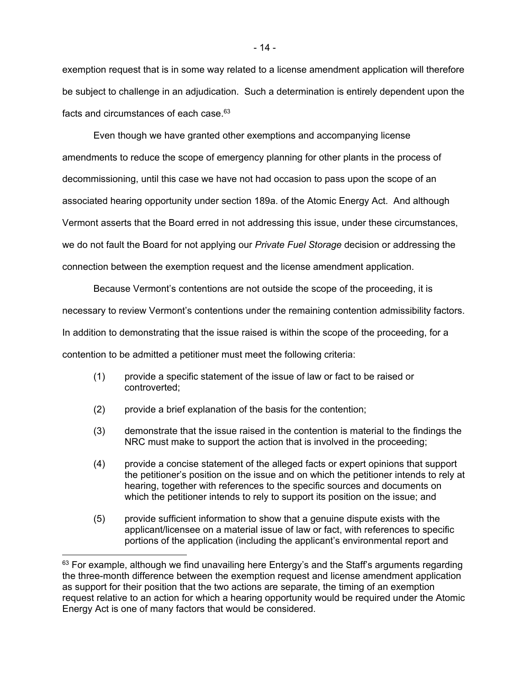exemption request that is in some way related to a license amendment application will therefore be subject to challenge in an adjudication. Such a determination is entirely dependent upon the facts and circumstances of each case.63

Even though we have granted other exemptions and accompanying license amendments to reduce the scope of emergency planning for other plants in the process of decommissioning, until this case we have not had occasion to pass upon the scope of an associated hearing opportunity under section 189a. of the Atomic Energy Act. And although Vermont asserts that the Board erred in not addressing this issue, under these circumstances, we do not fault the Board for not applying our *Private Fuel Storage* decision or addressing the connection between the exemption request and the license amendment application.

Because Vermont's contentions are not outside the scope of the proceeding, it is necessary to review Vermont's contentions under the remaining contention admissibility factors. In addition to demonstrating that the issue raised is within the scope of the proceeding, for a contention to be admitted a petitioner must meet the following criteria:

- (1) provide a specific statement of the issue of law or fact to be raised or controverted;
- (2) provide a brief explanation of the basis for the contention;

 $\overline{a}$ 

- (3) demonstrate that the issue raised in the contention is material to the findings the NRC must make to support the action that is involved in the proceeding;
- (4) provide a concise statement of the alleged facts or expert opinions that support the petitioner's position on the issue and on which the petitioner intends to rely at hearing, together with references to the specific sources and documents on which the petitioner intends to rely to support its position on the issue; and
- (5) provide sufficient information to show that a genuine dispute exists with the applicant/licensee on a material issue of law or fact, with references to specific portions of the application (including the applicant's environmental report and

 $63$  For example, although we find unavailing here Entergy's and the Staff's arguments regarding the three-month difference between the exemption request and license amendment application as support for their position that the two actions are separate, the timing of an exemption request relative to an action for which a hearing opportunity would be required under the Atomic Energy Act is one of many factors that would be considered.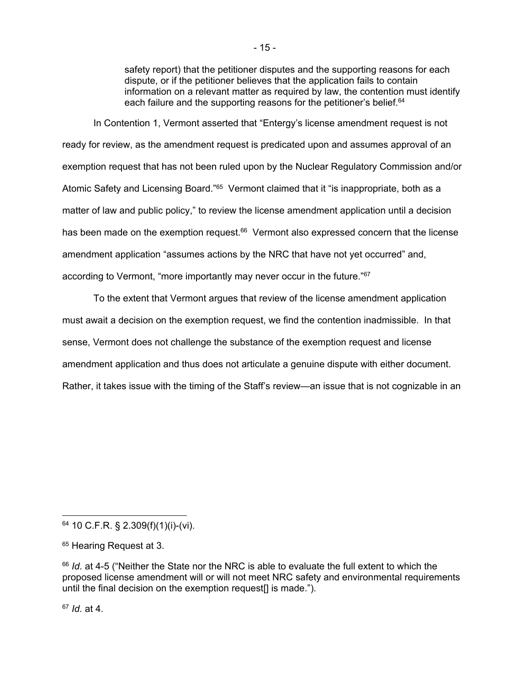safety report) that the petitioner disputes and the supporting reasons for each dispute, or if the petitioner believes that the application fails to contain information on a relevant matter as required by law, the contention must identify each failure and the supporting reasons for the petitioner's belief.<sup>64</sup>

In Contention 1, Vermont asserted that "Entergy's license amendment request is not ready for review, as the amendment request is predicated upon and assumes approval of an exemption request that has not been ruled upon by the Nuclear Regulatory Commission and/or Atomic Safety and Licensing Board."65 Vermont claimed that it "is inappropriate, both as a matter of law and public policy," to review the license amendment application until a decision has been made on the exemption request.<sup>66</sup> Vermont also expressed concern that the license amendment application "assumes actions by the NRC that have not yet occurred" and, according to Vermont, "more importantly may never occur in the future."67

To the extent that Vermont argues that review of the license amendment application must await a decision on the exemption request, we find the contention inadmissible. In that sense, Vermont does not challenge the substance of the exemption request and license amendment application and thus does not articulate a genuine dispute with either document. Rather, it takes issue with the timing of the Staff's review—an issue that is not cognizable in an

<sup>67</sup> *Id.* at 4.

<sup>64 10</sup> C.F.R. § 2.309(f)(1)(i)-(vi).

<sup>&</sup>lt;sup>65</sup> Hearing Request at 3.

<sup>66</sup> *Id.* at 4-5 ("Neither the State nor the NRC is able to evaluate the full extent to which the proposed license amendment will or will not meet NRC safety and environmental requirements until the final decision on the exemption request[] is made.").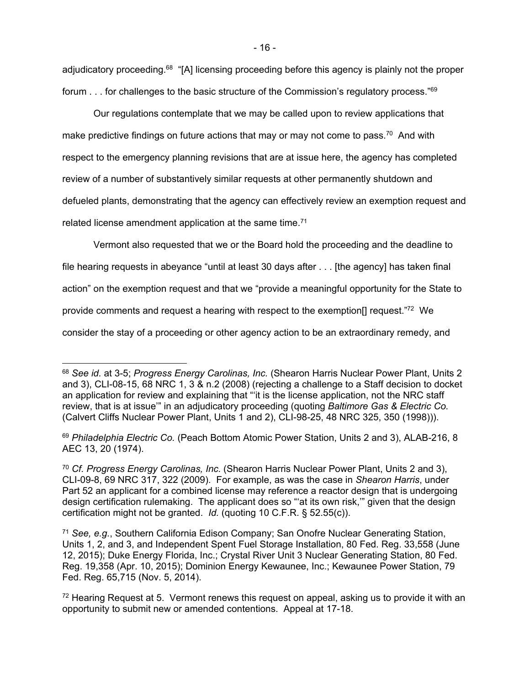adjudicatory proceeding.68 "[A] licensing proceeding before this agency is plainly not the proper forum . . . for challenges to the basic structure of the Commission's regulatory process."<sup>69</sup>

Our regulations contemplate that we may be called upon to review applications that make predictive findings on future actions that may or may not come to pass.<sup>70</sup> And with respect to the emergency planning revisions that are at issue here, the agency has completed review of a number of substantively similar requests at other permanently shutdown and defueled plants, demonstrating that the agency can effectively review an exemption request and related license amendment application at the same time.<sup>71</sup>

Vermont also requested that we or the Board hold the proceeding and the deadline to file hearing requests in abeyance "until at least 30 days after . . . [the agency] has taken final action" on the exemption request and that we "provide a meaningful opportunity for the State to provide comments and request a hearing with respect to the exemption[] request."72 We consider the stay of a proceeding or other agency action to be an extraordinary remedy, and

-

<sup>68</sup> *See id.* at 3-5; *Progress Energy Carolinas, Inc.* (Shearon Harris Nuclear Power Plant, Units 2 and 3), CLI-08-15, 68 NRC 1, 3 & n.2 (2008) (rejecting a challenge to a Staff decision to docket an application for review and explaining that "'it is the license application, not the NRC staff review, that is at issue'" in an adjudicatory proceeding (quoting *Baltimore Gas & Electric Co.* (Calvert Cliffs Nuclear Power Plant, Units 1 and 2), CLI-98-25, 48 NRC 325, 350 (1998))).

<sup>69</sup> *Philadelphia Electric Co.* (Peach Bottom Atomic Power Station, Units 2 and 3), ALAB-216, 8 AEC 13, 20 (1974).

<sup>70</sup> *Cf. Progress Energy Carolinas, Inc.* (Shearon Harris Nuclear Power Plant, Units 2 and 3), CLI-09-8, 69 NRC 317, 322 (2009). For example, as was the case in *Shearon Harris*, under Part 52 an applicant for a combined license may reference a reactor design that is undergoing design certification rulemaking. The applicant does so "at its own risk," given that the design certification might not be granted. *Id.* (quoting 10 C.F.R. § 52.55(c)).

<sup>71</sup> *See, e.g.*, Southern California Edison Company; San Onofre Nuclear Generating Station, Units 1, 2, and 3, and Independent Spent Fuel Storage Installation, 80 Fed. Reg. 33,558 (June 12, 2015); Duke Energy Florida, Inc.; Crystal River Unit 3 Nuclear Generating Station, 80 Fed. Reg. 19,358 (Apr. 10, 2015); Dominion Energy Kewaunee, Inc.; Kewaunee Power Station, 79 Fed. Reg. 65,715 (Nov. 5, 2014).

 $72$  Hearing Request at 5. Vermont renews this request on appeal, asking us to provide it with an opportunity to submit new or amended contentions. Appeal at 17-18.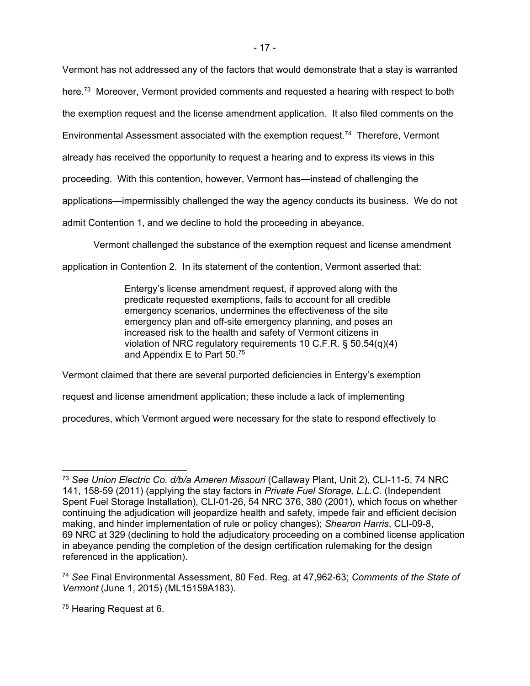Vermont has not addressed any of the factors that would demonstrate that a stay is warranted here.<sup>73</sup> Moreover, Vermont provided comments and requested a hearing with respect to both

the exemption request and the license amendment application. It also filed comments on the

Environmental Assessment associated with the exemption request.74 Therefore, Vermont

already has received the opportunity to request a hearing and to express its views in this

proceeding. With this contention, however, Vermont has—instead of challenging the

applications—impermissibly challenged the way the agency conducts its business. We do not

admit Contention 1, and we decline to hold the proceeding in abeyance.

Vermont challenged the substance of the exemption request and license amendment

application in Contention 2. In its statement of the contention, Vermont asserted that:

Entergy's license amendment request, if approved along with the predicate requested exemptions, fails to account for all credible emergency scenarios, undermines the effectiveness of the site emergency plan and off-site emergency planning, and poses an increased risk to the health and safety of Vermont citizens in violation of NRC regulatory requirements 10 C.F.R. § 50.54(q)(4) and Appendix E to Part 50.75

Vermont claimed that there are several purported deficiencies in Entergy's exemption

request and license amendment application; these include a lack of implementing

procedures, which Vermont argued were necessary for the state to respond effectively to

75 Hearing Request at 6.

 $\overline{a}$ <sup>73</sup> *See Union Electric Co. d/b/a Ameren Missouri* (Callaway Plant, Unit 2), CLI-11-5, 74 NRC 141, 158-59 (2011) (applying the stay factors in *Private Fuel Storage, L.L.C.* (Independent Spent Fuel Storage Installation), CLI-01-26, 54 NRC 376, 380 (2001), which focus on whether continuing the adjudication will jeopardize health and safety, impede fair and efficient decision making, and hinder implementation of rule or policy changes); *Shearon Harris*, CLI-09-8, 69 NRC at 329 (declining to hold the adjudicatory proceeding on a combined license application in abeyance pending the completion of the design certification rulemaking for the design referenced in the application).

<sup>74</sup> *See* Final Environmental Assessment, 80 Fed. Reg. at 47,962-63; *Comments of the State of Vermont* (June 1, 2015) (ML15159A183).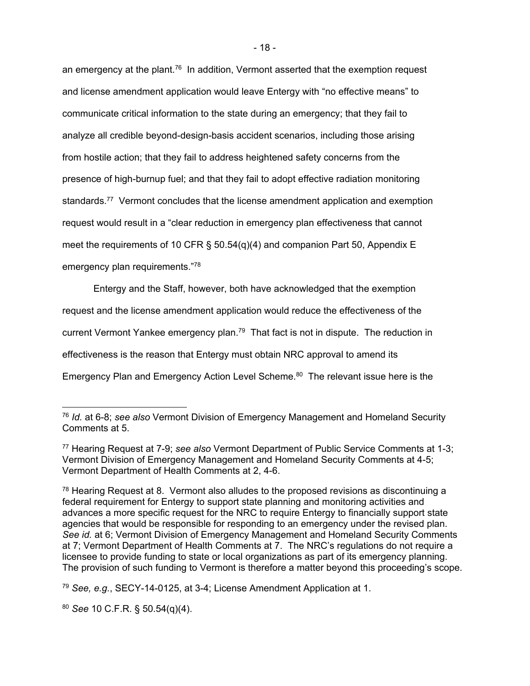an emergency at the plant.<sup>76</sup> In addition, Vermont asserted that the exemption request and license amendment application would leave Entergy with "no effective means" to communicate critical information to the state during an emergency; that they fail to analyze all credible beyond-design-basis accident scenarios, including those arising from hostile action; that they fail to address heightened safety concerns from the presence of high-burnup fuel; and that they fail to adopt effective radiation monitoring standards.<sup>77</sup> Vermont concludes that the license amendment application and exemption request would result in a "clear reduction in emergency plan effectiveness that cannot meet the requirements of 10 CFR §  $50.54(q)(4)$  and companion Part 50, Appendix E emergency plan requirements."78

Entergy and the Staff, however, both have acknowledged that the exemption request and the license amendment application would reduce the effectiveness of the current Vermont Yankee emergency plan.<sup>79</sup> That fact is not in dispute. The reduction in effectiveness is the reason that Entergy must obtain NRC approval to amend its Emergency Plan and Emergency Action Level Scheme.<sup>80</sup> The relevant issue here is the

<sup>80</sup> *See* 10 C.F.R. § 50.54(q)(4).

-

<sup>76</sup> *Id.* at 6-8; *see also* Vermont Division of Emergency Management and Homeland Security Comments at 5.

<sup>77</sup> Hearing Request at 7-9; *see also* Vermont Department of Public Service Comments at 1-3; Vermont Division of Emergency Management and Homeland Security Comments at 4-5; Vermont Department of Health Comments at 2, 4-6.

 $78$  Hearing Request at 8. Vermont also alludes to the proposed revisions as discontinuing a federal requirement for Entergy to support state planning and monitoring activities and advances a more specific request for the NRC to require Entergy to financially support state agencies that would be responsible for responding to an emergency under the revised plan. *See id.* at 6; Vermont Division of Emergency Management and Homeland Security Comments at 7; Vermont Department of Health Comments at 7. The NRC's regulations do not require a licensee to provide funding to state or local organizations as part of its emergency planning. The provision of such funding to Vermont is therefore a matter beyond this proceeding's scope.

<sup>79</sup> *See, e.g.*, SECY-14-0125, at 3-4; License Amendment Application at 1.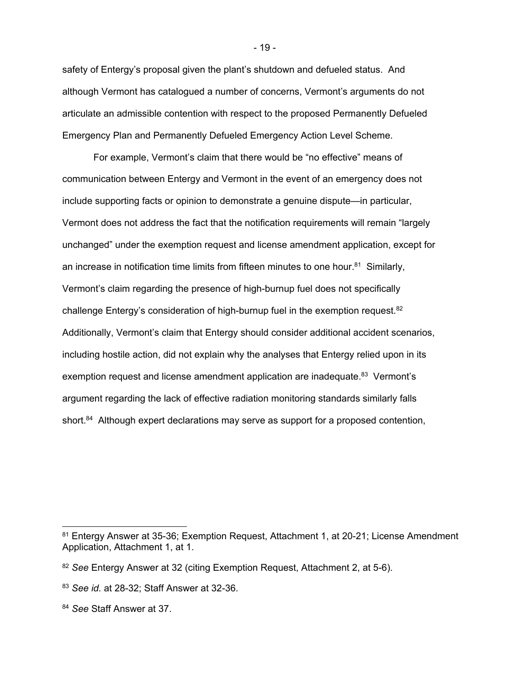safety of Entergy's proposal given the plant's shutdown and defueled status. And although Vermont has catalogued a number of concerns, Vermont's arguments do not articulate an admissible contention with respect to the proposed Permanently Defueled Emergency Plan and Permanently Defueled Emergency Action Level Scheme.

For example, Vermont's claim that there would be "no effective" means of communication between Entergy and Vermont in the event of an emergency does not include supporting facts or opinion to demonstrate a genuine dispute—in particular, Vermont does not address the fact that the notification requirements will remain "largely unchanged" under the exemption request and license amendment application, except for an increase in notification time limits from fifteen minutes to one hour. $81$  Similarly, Vermont's claim regarding the presence of high-burnup fuel does not specifically challenge Entergy's consideration of high-burnup fuel in the exemption request.<sup>82</sup> Additionally, Vermont's claim that Entergy should consider additional accident scenarios, including hostile action, did not explain why the analyses that Entergy relied upon in its exemption request and license amendment application are inadequate.<sup>83</sup> Vermont's argument regarding the lack of effective radiation monitoring standards similarly falls short.<sup>84</sup> Although expert declarations may serve as support for a proposed contention,

 $\overline{a}$ 

<sup>81</sup> Entergy Answer at 35-36; Exemption Request, Attachment 1, at 20-21; License Amendment Application, Attachment 1, at 1.

<sup>82</sup> *See* Entergy Answer at 32 (citing Exemption Request, Attachment 2, at 5-6).

<sup>83</sup> *See id.* at 28-32; Staff Answer at 32-36.

<sup>84</sup> *See* Staff Answer at 37.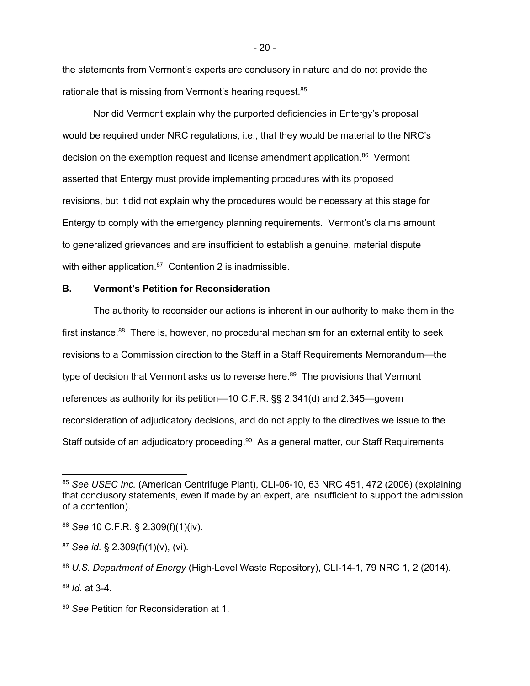the statements from Vermont's experts are conclusory in nature and do not provide the rationale that is missing from Vermont's hearing request.<sup>85</sup>

Nor did Vermont explain why the purported deficiencies in Entergy's proposal would be required under NRC regulations, i.e., that they would be material to the NRC's decision on the exemption request and license amendment application.<sup>86</sup> Vermont asserted that Entergy must provide implementing procedures with its proposed revisions, but it did not explain why the procedures would be necessary at this stage for Entergy to comply with the emergency planning requirements. Vermont's claims amount to generalized grievances and are insufficient to establish a genuine, material dispute with either application.<sup>87</sup> Contention 2 is inadmissible.

#### **B. Vermont's Petition for Reconsideration**

The authority to reconsider our actions is inherent in our authority to make them in the first instance.<sup>88</sup> There is, however, no procedural mechanism for an external entity to seek revisions to a Commission direction to the Staff in a Staff Requirements Memorandum—the type of decision that Vermont asks us to reverse here.<sup>89</sup> The provisions that Vermont references as authority for its petition—10 C.F.R. §§ 2.341(d) and 2.345—govern reconsideration of adjudicatory decisions, and do not apply to the directives we issue to the Staff outside of an adjudicatory proceeding.<sup>90</sup> As a general matter, our Staff Requirements

 $\overline{a}$ 

<sup>85</sup> *See USEC Inc.* (American Centrifuge Plant), CLI-06-10, 63 NRC 451, 472 (2006) (explaining that conclusory statements, even if made by an expert, are insufficient to support the admission of a contention).

<sup>86</sup> *See* 10 C.F.R. § 2.309(f)(1)(iv).

<sup>87</sup> *See id.* § 2.309(f)(1)(v), (vi).

<sup>88</sup> *U.S. Department of Energy* (High-Level Waste Repository), CLI-14-1, 79 NRC 1, 2 (2014).

<sup>89</sup> *Id.* at 3-4.

<sup>90</sup> *See* Petition for Reconsideration at 1.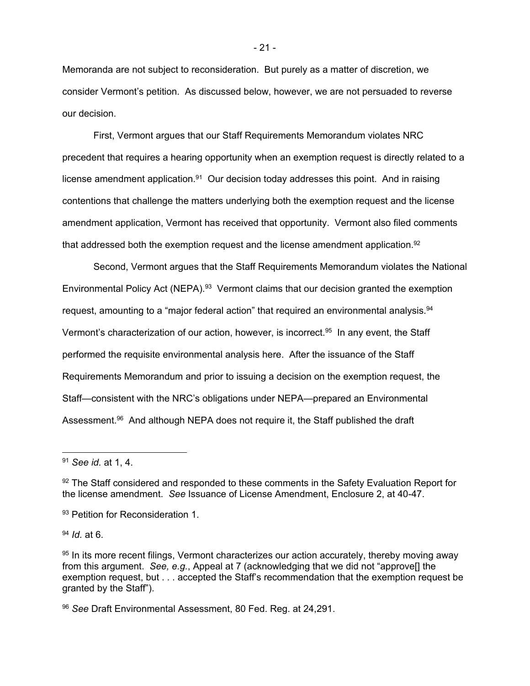Memoranda are not subject to reconsideration. But purely as a matter of discretion, we consider Vermont's petition. As discussed below, however, we are not persuaded to reverse our decision.

First, Vermont argues that our Staff Requirements Memorandum violates NRC precedent that requires a hearing opportunity when an exemption request is directly related to a license amendment application. $91$  Our decision today addresses this point. And in raising contentions that challenge the matters underlying both the exemption request and the license amendment application, Vermont has received that opportunity. Vermont also filed comments that addressed both the exemption request and the license amendment application.<sup>92</sup>

Second, Vermont argues that the Staff Requirements Memorandum violates the National Environmental Policy Act (NEPA).<sup>93</sup> Vermont claims that our decision granted the exemption request, amounting to a "major federal action" that required an environmental analysis.<sup>94</sup> Vermont's characterization of our action, however, is incorrect.<sup>95</sup> In any event, the Staff performed the requisite environmental analysis here. After the issuance of the Staff Requirements Memorandum and prior to issuing a decision on the exemption request, the Staff—consistent with the NRC's obligations under NEPA—prepared an Environmental Assessment.<sup>96</sup> And although NEPA does not require it, the Staff published the draft

-

<sup>94</sup> *Id.* at 6.

<sup>91</sup> *See id.* at 1, 4.

<sup>92</sup> The Staff considered and responded to these comments in the Safety Evaluation Report for the license amendment. *See* Issuance of License Amendment, Enclosure 2, at 40-47.

<sup>93</sup> Petition for Reconsideration 1.

<sup>95</sup> In its more recent filings, Vermont characterizes our action accurately, thereby moving away from this argument. *See, e.g.*, Appeal at 7 (acknowledging that we did not "approve[] the exemption request, but . . . accepted the Staff's recommendation that the exemption request be granted by the Staff").

<sup>96</sup> *See* Draft Environmental Assessment, 80 Fed. Reg. at 24,291.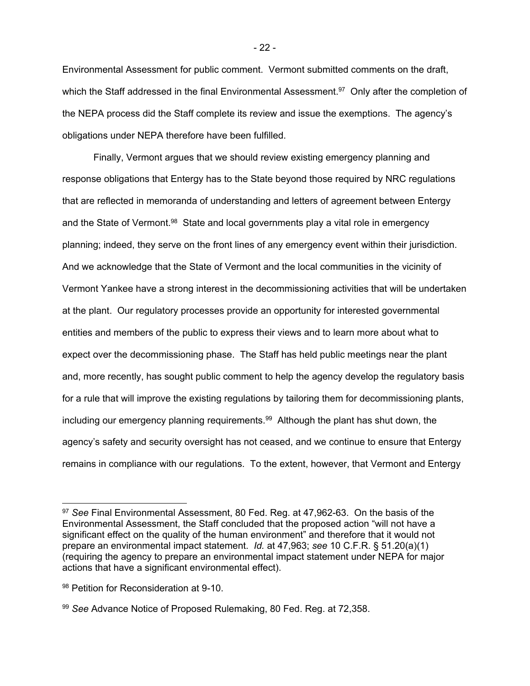Environmental Assessment for public comment. Vermont submitted comments on the draft, which the Staff addressed in the final Environmental Assessment.<sup>97</sup> Only after the completion of the NEPA process did the Staff complete its review and issue the exemptions. The agency's obligations under NEPA therefore have been fulfilled.

Finally, Vermont argues that we should review existing emergency planning and response obligations that Entergy has to the State beyond those required by NRC regulations that are reflected in memoranda of understanding and letters of agreement between Entergy and the State of Vermont.<sup>98</sup> State and local governments play a vital role in emergency planning; indeed, they serve on the front lines of any emergency event within their jurisdiction. And we acknowledge that the State of Vermont and the local communities in the vicinity of Vermont Yankee have a strong interest in the decommissioning activities that will be undertaken at the plant. Our regulatory processes provide an opportunity for interested governmental entities and members of the public to express their views and to learn more about what to expect over the decommissioning phase. The Staff has held public meetings near the plant and, more recently, has sought public comment to help the agency develop the regulatory basis for a rule that will improve the existing regulations by tailoring them for decommissioning plants, including our emergency planning requirements.<sup>99</sup> Although the plant has shut down, the agency's safety and security oversight has not ceased, and we continue to ensure that Entergy remains in compliance with our regulations. To the extent, however, that Vermont and Entergy

-

<sup>97</sup> *See* Final Environmental Assessment, 80 Fed. Reg. at 47,962-63. On the basis of the Environmental Assessment, the Staff concluded that the proposed action "will not have a significant effect on the quality of the human environment" and therefore that it would not prepare an environmental impact statement. *Id.* at 47,963; *see* 10 C.F.R. § 51.20(a)(1) (requiring the agency to prepare an environmental impact statement under NEPA for major actions that have a significant environmental effect).

<sup>98</sup> Petition for Reconsideration at 9-10.

<sup>99</sup> *See* Advance Notice of Proposed Rulemaking, 80 Fed. Reg. at 72,358.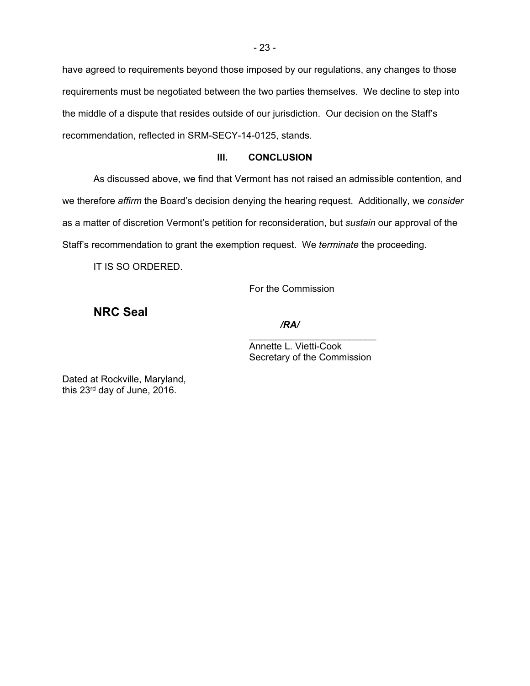have agreed to requirements beyond those imposed by our regulations, any changes to those requirements must be negotiated between the two parties themselves. We decline to step into the middle of a dispute that resides outside of our jurisdiction. Our decision on the Staff's recommendation, reflected in SRM-SECY-14-0125, stands.

## **III. CONCLUSION**

As discussed above, we find that Vermont has not raised an admissible contention, and we therefore *affirm* the Board's decision denying the hearing request. Additionally, we *consider* as a matter of discretion Vermont's petition for reconsideration, but *sustain* our approval of the Staff's recommendation to grant the exemption request. We *terminate* the proceeding.

 $\mathcal{L}_\text{max}$  , and the contract of the contract of the contract of the contract of the contract of the contract of the contract of the contract of the contract of the contract of the contract of the contract of the contr

IT IS SO ORDERED.

For the Commission

**NRC Seal** 

*/RA/* 

 Annette L. Vietti-Cook Secretary of the Commission

Dated at Rockville, Maryland, this 23rd day of June, 2016.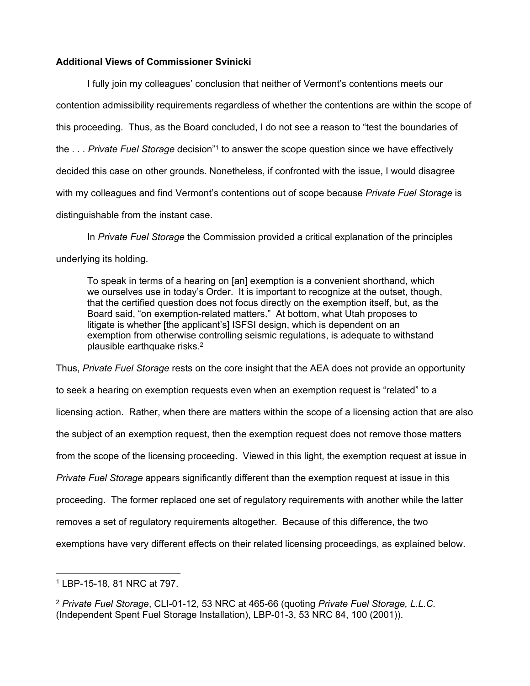## **Additional Views of Commissioner Svinicki**

I fully join my colleagues' conclusion that neither of Vermont's contentions meets our contention admissibility requirements regardless of whether the contentions are within the scope of this proceeding. Thus, as the Board concluded, I do not see a reason to "test the boundaries of the . . . *Private Fuel Storage* decision"1 to answer the scope question since we have effectively decided this case on other grounds. Nonetheless, if confronted with the issue, I would disagree with my colleagues and find Vermont's contentions out of scope because *Private Fuel Storage* is distinguishable from the instant case.

In *Private Fuel Storage* the Commission provided a critical explanation of the principles underlying its holding.

To speak in terms of a hearing on [an] exemption is a convenient shorthand, which we ourselves use in today's Order. It is important to recognize at the outset, though, that the certified question does not focus directly on the exemption itself, but, as the Board said, "on exemption-related matters." At bottom, what Utah proposes to litigate is whether [the applicant's] ISFSI design, which is dependent on an exemption from otherwise controlling seismic regulations, is adequate to withstand plausible earthquake risks.2

Thus, *Private Fuel Storage* rests on the core insight that the AEA does not provide an opportunity to seek a hearing on exemption requests even when an exemption request is "related" to a licensing action. Rather, when there are matters within the scope of a licensing action that are also the subject of an exemption request, then the exemption request does not remove those matters from the scope of the licensing proceeding. Viewed in this light, the exemption request at issue in *Private Fuel Storage* appears significantly different than the exemption request at issue in this proceeding. The former replaced one set of regulatory requirements with another while the latter removes a set of regulatory requirements altogether. Because of this difference, the two exemptions have very different effects on their related licensing proceedings, as explained below.

 1 LBP-15-18, 81 NRC at 797.

<sup>2</sup> *Private Fuel Storage*, CLI-01-12, 53 NRC at 465-66 (quoting *Private Fuel Storage, L.L.C.*  (Independent Spent Fuel Storage Installation), LBP-01-3, 53 NRC 84, 100 (2001)).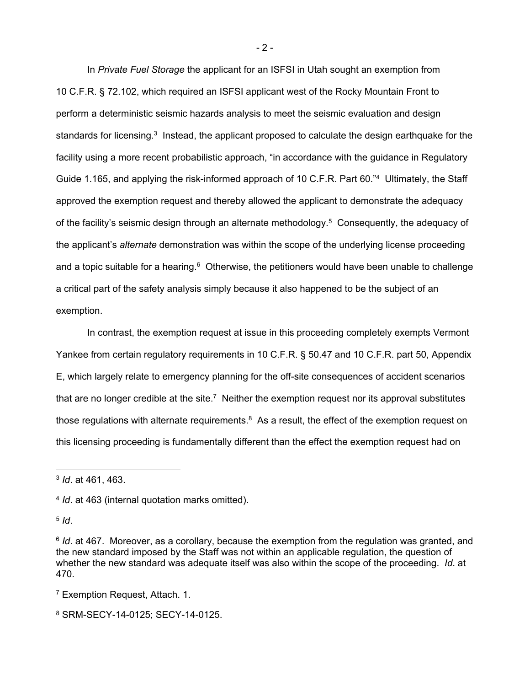In *Private Fuel Storage* the applicant for an ISFSI in Utah sought an exemption from 10 C.F.R. § 72.102, which required an ISFSI applicant west of the Rocky Mountain Front to perform a deterministic seismic hazards analysis to meet the seismic evaluation and design standards for licensing.<sup>3</sup> Instead, the applicant proposed to calculate the design earthquake for the facility using a more recent probabilistic approach, "in accordance with the guidance in Regulatory Guide 1.165, and applying the risk-informed approach of 10 C.F.R. Part 60."4 Ultimately, the Staff approved the exemption request and thereby allowed the applicant to demonstrate the adequacy of the facility's seismic design through an alternate methodology.<sup>5</sup> Consequently, the adequacy of the applicant's *alternate* demonstration was within the scope of the underlying license proceeding and a topic suitable for a hearing. $6$  Otherwise, the petitioners would have been unable to challenge a critical part of the safety analysis simply because it also happened to be the subject of an exemption.

In contrast, the exemption request at issue in this proceeding completely exempts Vermont Yankee from certain regulatory requirements in 10 C.F.R. § 50.47 and 10 C.F.R. part 50, Appendix E, which largely relate to emergency planning for the off-site consequences of accident scenarios that are no longer credible at the site. $7$  Neither the exemption request nor its approval substitutes those regulations with alternate requirements. $8$  As a result, the effect of the exemption request on this licensing proceeding is fundamentally different than the effect the exemption request had on

 $5$   $\overline{d}$ .

- 7 Exemption Request, Attach. 1.
- 8 SRM-SECY-14-0125; SECY-14-0125.

 $- 2 -$ 

<sup>3</sup> *Id*. at 461, 463.

<sup>4</sup> *Id*. at 463 (internal quotation marks omitted).

<sup>&</sup>lt;sup>6</sup> *Id.* at 467. Moreover, as a corollary, because the exemption from the regulation was granted, and the new standard imposed by the Staff was not within an applicable regulation, the question of whether the new standard was adequate itself was also within the scope of the proceeding. *Id*. at 470.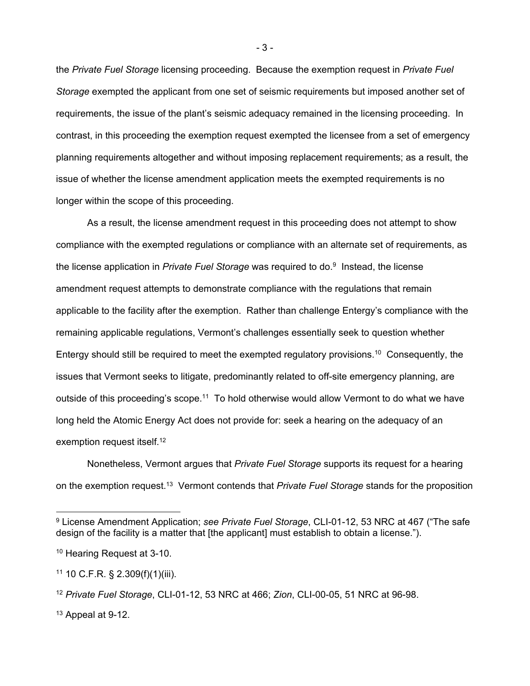the *Private Fuel Storage* licensing proceeding. Because the exemption request in *Private Fuel Storage* exempted the applicant from one set of seismic requirements but imposed another set of requirements, the issue of the plant's seismic adequacy remained in the licensing proceeding. In contrast, in this proceeding the exemption request exempted the licensee from a set of emergency planning requirements altogether and without imposing replacement requirements; as a result, the issue of whether the license amendment application meets the exempted requirements is no longer within the scope of this proceeding.

As a result, the license amendment request in this proceeding does not attempt to show compliance with the exempted regulations or compliance with an alternate set of requirements, as the license application in *Private Fuel Storage* was required to do.9 Instead, the license amendment request attempts to demonstrate compliance with the regulations that remain applicable to the facility after the exemption. Rather than challenge Entergy's compliance with the remaining applicable regulations, Vermont's challenges essentially seek to question whether Entergy should still be required to meet the exempted regulatory provisions.<sup>10</sup> Consequently, the issues that Vermont seeks to litigate, predominantly related to off-site emergency planning, are outside of this proceeding's scope.<sup>11</sup> To hold otherwise would allow Vermont to do what we have long held the Atomic Energy Act does not provide for: seek a hearing on the adequacy of an exemption request itself.12

Nonetheless, Vermont argues that *Private Fuel Storage* supports its request for a hearing on the exemption request.13 Vermont contends that *Private Fuel Storage* stands for the proposition

 $\overline{a}$ 

- 3 -

<sup>9</sup> License Amendment Application; *see Private Fuel Storage*, CLI-01-12, 53 NRC at 467 ("The safe design of the facility is a matter that [the applicant] must establish to obtain a license.").

<sup>10</sup> Hearing Request at 3-10.

 $11$  10 C.F.R. § 2.309(f)(1)(iii).

<sup>12</sup> *Private Fuel Storage*, CLI-01-12, 53 NRC at 466; *Zion*, CLI-00-05, 51 NRC at 96-98.

 $13$  Appeal at 9-12.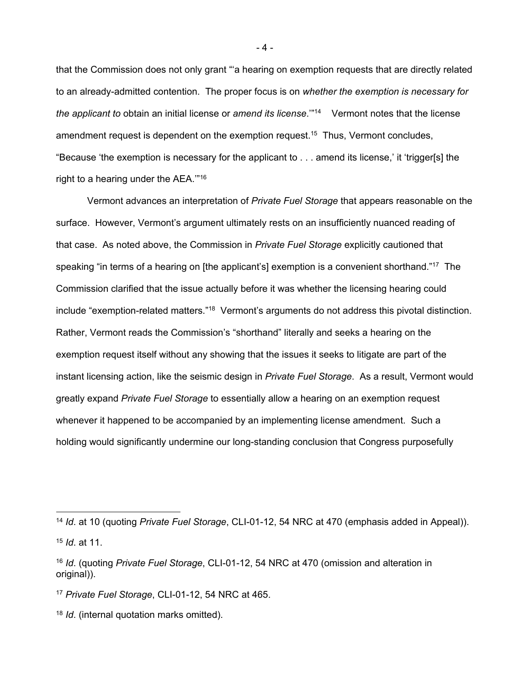that the Commission does not only grant "'a hearing on exemption requests that are directly related to an already-admitted contention. The proper focus is on *whether the exemption is necessary for the applicant to* obtain an initial license or *amend its license*.'"14 Vermont notes that the license amendment request is dependent on the exemption request.<sup>15</sup> Thus, Vermont concludes, "Because 'the exemption is necessary for the applicant to . . . amend its license,' it 'trigger[s] the right to a hearing under the AEA.'"16

Vermont advances an interpretation of *Private Fuel Storage* that appears reasonable on the surface. However, Vermont's argument ultimately rests on an insufficiently nuanced reading of that case. As noted above, the Commission in *Private Fuel Storage* explicitly cautioned that speaking "in terms of a hearing on [the applicant's] exemption is a convenient shorthand."<sup>17</sup> The Commission clarified that the issue actually before it was whether the licensing hearing could include "exemption-related matters."<sup>18</sup> Vermont's arguments do not address this pivotal distinction. Rather, Vermont reads the Commission's "shorthand" literally and seeks a hearing on the exemption request itself without any showing that the issues it seeks to litigate are part of the instant licensing action, like the seismic design in *Private Fuel Storage*. As a result, Vermont would greatly expand *Private Fuel Storage* to essentially allow a hearing on an exemption request whenever it happened to be accompanied by an implementing license amendment. Such a holding would significantly undermine our long-standing conclusion that Congress purposefully

 $\overline{a}$ 

- 4 -

<sup>14</sup> *Id*. at 10 (quoting *Private Fuel Storage*, CLI-01-12, 54 NRC at 470 (emphasis added in Appeal)). <sup>15</sup> *Id*. at 11.

<sup>16</sup> *Id*. (quoting *Private Fuel Storage*, CLI-01-12, 54 NRC at 470 (omission and alteration in original)).

<sup>17</sup> *Private Fuel Storage*, CLI-01-12, 54 NRC at 465.

<sup>18</sup> *Id*. (internal quotation marks omitted).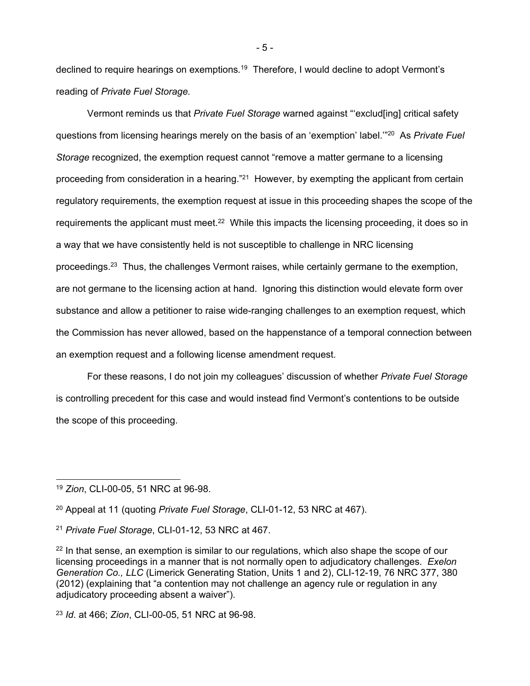declined to require hearings on exemptions*.* <sup>19</sup>Therefore, I would decline to adopt Vermont's reading of *Private Fuel Storage.* 

Vermont reminds us that *Private Fuel Storage* warned against "'exclud[ing] critical safety questions from licensing hearings merely on the basis of an 'exemption' label.'"20 As *Private Fuel Storage* recognized, the exemption request cannot "remove a matter germane to a licensing proceeding from consideration in a hearing."<sup>21</sup> However, by exempting the applicant from certain regulatory requirements, the exemption request at issue in this proceeding shapes the scope of the requirements the applicant must meet.<sup>22</sup> While this impacts the licensing proceeding, it does so in a way that we have consistently held is not susceptible to challenge in NRC licensing proceedings.<sup>23</sup> Thus, the challenges Vermont raises, while certainly germane to the exemption, are not germane to the licensing action at hand. Ignoring this distinction would elevate form over substance and allow a petitioner to raise wide-ranging challenges to an exemption request, which the Commission has never allowed, based on the happenstance of a temporal connection between an exemption request and a following license amendment request.

For these reasons, I do not join my colleagues' discussion of whether *Private Fuel Storage*  is controlling precedent for this case and would instead find Vermont's contentions to be outside the scope of this proceeding.

- 5 -

<sup>19</sup> *Zion*, CLI-00-05, 51 NRC at 96-98.

<sup>20</sup> Appeal at 11 (quoting *Private Fuel Storage*, CLI-01-12, 53 NRC at 467).

<sup>21</sup> *Private Fuel Storage*, CLI-01-12, 53 NRC at 467.

 $22$  In that sense, an exemption is similar to our regulations, which also shape the scope of our licensing proceedings in a manner that is not normally open to adjudicatory challenges. *Exelon Generation Co., LLC* (Limerick Generating Station, Units 1 and 2), CLI-12-19, 76 NRC 377, 380 (2012) (explaining that "a contention may not challenge an agency rule or regulation in any adjudicatory proceeding absent a waiver").

<sup>23</sup> *Id*. at 466; *Zion*, CLI-00-05, 51 NRC at 96-98.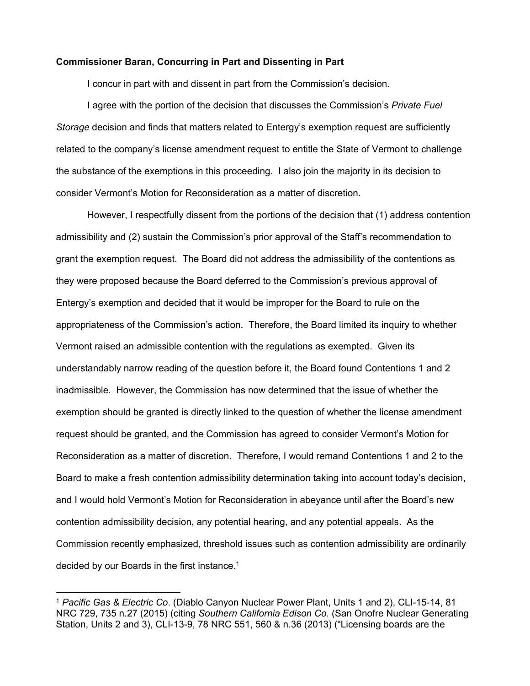#### **Commissioner Baran, Concurring in Part and Dissenting in Part**

I concur in part with and dissent in part from the Commission's decision.

I agree with the portion of the decision that discusses the Commission's *Private Fuel Storage* decision and finds that matters related to Entergy's exemption request are sufficiently related to the company's license amendment request to entitle the State of Vermont to challenge the substance of the exemptions in this proceeding. I also join the majority in its decision to consider Vermont's Motion for Reconsideration as a matter of discretion.

However, I respectfully dissent from the portions of the decision that (1) address contention admissibility and (2) sustain the Commission's prior approval of the Staff's recommendation to grant the exemption request. The Board did not address the admissibility of the contentions as they were proposed because the Board deferred to the Commission's previous approval of Entergy's exemption and decided that it would be improper for the Board to rule on the appropriateness of the Commission's action. Therefore, the Board limited its inquiry to whether Vermont raised an admissible contention with the regulations as exempted. Given its understandably narrow reading of the question before it, the Board found Contentions 1 and 2 inadmissible. However, the Commission has now determined that the issue of whether the exemption should be granted is directly linked to the question of whether the license amendment request should be granted, and the Commission has agreed to consider Vermont's Motion for Reconsideration as a matter of discretion. Therefore, I would remand Contentions 1 and 2 to the Board to make a fresh contention admissibility determination taking into account today's decision, and I would hold Vermont's Motion for Reconsideration in abeyance until after the Board's new contention admissibility decision, any potential hearing, and any potential appeals. As the Commission recently emphasized, threshold issues such as contention admissibility are ordinarily decided by our Boards in the first instance.1

 $\overline{a}$ 

<sup>1</sup> *Pacific Gas & Electric Co*. (Diablo Canyon Nuclear Power Plant, Units 1 and 2), CLI-15-14, 81 NRC 729, 735 n.27 (2015) (citing *Southern California Edison Co.* (San Onofre Nuclear Generating Station, Units 2 and 3), CLI-13-9, 78 NRC 551, 560 & n.36 (2013) ("Licensing boards are the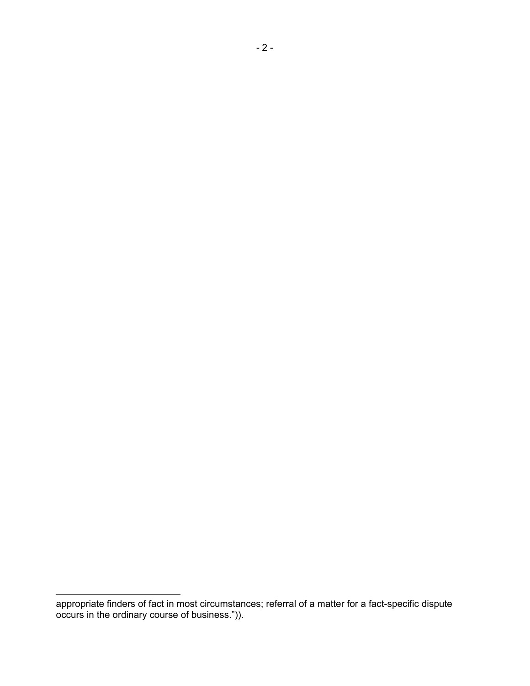appropriate finders of fact in most circumstances; referral of a matter for a fact-specific dispute occurs in the ordinary course of business.")).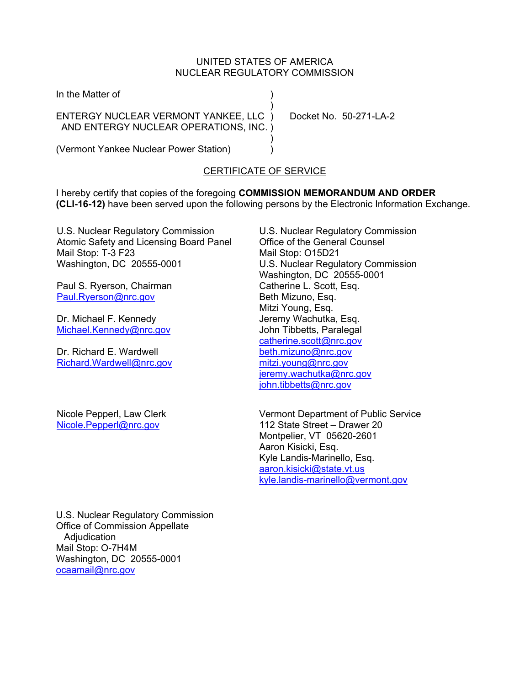## UNITED STATES OF AMERICA NUCLEAR REGULATORY COMMISSION

| In the Matter of                       |  |
|----------------------------------------|--|
|                                        |  |
| ENTERGY NUCLEAR VERMONT YANKEE, LLC )  |  |
| AND ENTERGY NUCLEAR OPERATIONS, INC. ) |  |
|                                        |  |

(Vermont Yankee Nuclear Power Station) )

Docket No.  $50-271-1$  A-2

# CERTIFICATE OF SERVICE

I hereby certify that copies of the foregoing **COMMISSION MEMORANDUM AND ORDER (CLI-16-12)** have been served upon the following persons by the Electronic Information Exchange.

U.S. Nuclear Regulatory Commission Atomic Safety and Licensing Board Panel Mail Stop: T-3 F23 Washington, DC 20555-0001

Paul S. Ryerson, Chairman Paul.Ryerson@nrc.gov

Dr. Michael F. Kennedy Michael.Kennedy@nrc.gov

Dr. Richard E. Wardwell Richard.Wardwell@nrc.gov

Nicole Pepperl, Law Clerk Nicole.Pepperl@nrc.gov

U.S. Nuclear Regulatory Commission Office of the General Counsel Mail Stop: O15D21 U.S. Nuclear Regulatory Commission Washington, DC 20555-0001 Catherine L. Scott, Esq. Beth Mizuno, Esq. Mitzi Young, Esq. Jeremy Wachutka, Esq. John Tibbetts, Paralegal catherine.scott@nrc.gov beth.mizuno@nrc.gov mitzi.young@nrc.gov jeremy.wachutka@nrc.gov john.tibbetts@nrc.gov

Vermont Department of Public Service 112 State Street – Drawer 20 Montpelier, VT 05620-2601 Aaron Kisicki, Esq. Kyle Landis-Marinello, Esq. aaron.kisicki@state.vt.us kyle.landis-marinello@vermont.gov

U.S. Nuclear Regulatory Commission Office of Commission Appellate Adjudication Mail Stop: O-7H4M Washington, DC 20555-0001 ocaamail@nrc.gov